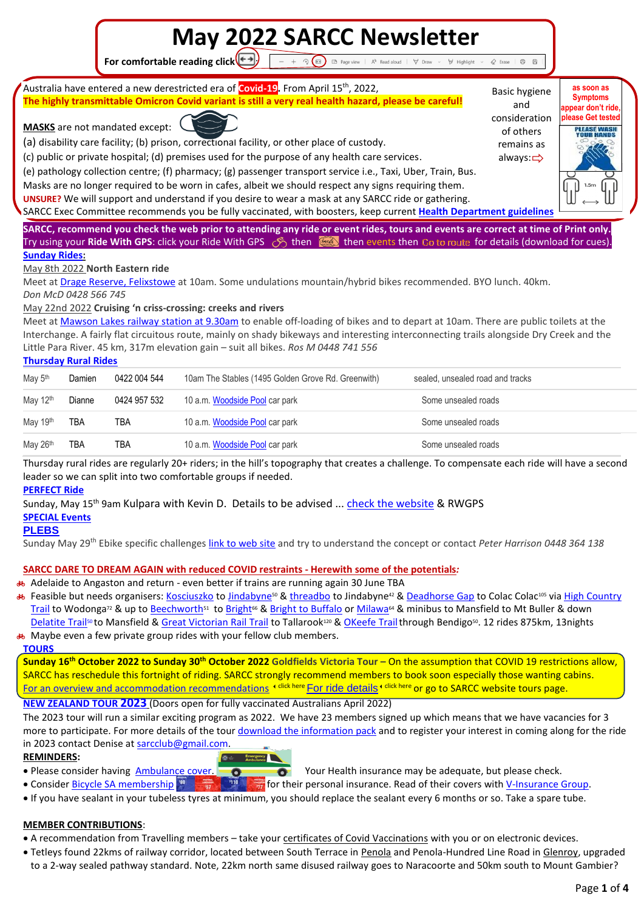# **May 2022 SARCC Newsletter**

**For comfortable reading**  $\text{click} \leftarrow \rightarrow$  $\rightarrow$  $\rightarrow \odot$  **<b>Experiment of A<sup>b</sup>** Read aloud  $\oslash$  Erase  $R$ 

Australia have entered a new derestricted era of **Covid-19.** From April 15 th, 2022, **The highly transmittable Omicron Covid variant is still a very real health hazard, please be careful!**

**MASKS** are not mandated except:



(a) disability care facility; (b) prison, correctional facility, or other place of custody.

(c) public or private hospital; (d) premises used for the purpose of any health care services.

(e) pathology collection centre; (f) pharmacy; (g) passenger transport service i.e., Taxi, Uber, Train, Bus.

Masks are no longer required to be worn in cafes, albeit we should respect any signs requiring them.

**UNSURE?** We will support and understand if you desire to wear a mask at any SARCC ride or gathering.

SARCC Exec Committee recommends you be fully vaccinated, with boosters, keep current **Health [Department](https://www.covid-19.sa.gov.au/) guidelines**

SARCC, recommend you check the web prior to attending any ride or event rides, tours and events are correct at time of Print only Try using your Ride With GPS: click your Ride With GPS 6 then **the metally then events then Go to route** for details (download for cues) **[Sunday](https://sarcc.wordpress.com/sunday-rides/) Rides:**

#### May 8th 2022 **North Eastern ride**

Meet at Drage Reserve, [Felixstowe](https://www.google.com.au/maps/dir/) at 10am. Some undulations mountain/hybrid bikes recommended. BYO lunch. 40km. *Don McD 0428 566 745*

#### May 22nd 2022 **Cruising 'n criss-crossing: creeks and rivers**

Meet at [Mawson](https://www.google.com.au/maps/dir/Mawson+Lakes+Railway+Station,+Mawson+Lakes+SA/-34.804141,138.61325/@-34.8050541,138.6141851,388m/data=!3m1!1e3!4m9!4m8!1m5!1m1!1s0x6ab0b6f1c8e14059:0xe37906befef7c0a6!2m2!1d138.612485!2d-34.8035314!1m0!3e0) Lakes railway station at 9.30am to enable off-loading of bikes and to depart at 10am. There are public toilets at the Interchange. A fairly flat circuitous route, mainly on shady bikeways and interesting interconnecting trails alongside Dry Creek and the Little Para River. 45 km, 317m elevation gain – suit all bikes. *Ros M 0448 741 556*

#### **[Thursday](https://sarcc.org.au/thursday-rural-rides/) Rural Rides**

| May 5 <sup>th</sup>  | Damien | 0422 004 544 | 10am The Stables (1495 Golden Grove Rd. Greenwith) | sealed, unsealed road and tracks |  |
|----------------------|--------|--------------|----------------------------------------------------|----------------------------------|--|
| May 12th             | Dianne | 0424 957 532 | 10 a.m. Woodside Pool car park                     | Some unsealed roads              |  |
| May 19th             | TBA    | TBA          | 10 a.m. Woodside Pool car park                     | Some unsealed roads              |  |
| May 26 <sup>th</sup> | TBA    | TBA          | 10 a.m. Woodside Pool car park                     | Some unsealed roads              |  |

Thursday rural rides are regularly 20+ riders; in the hill's topography that creates a challenge. To compensate each ride will have a second leader so we can split into two comfortable groups if needed.

#### **[PERFECT](https://sarcc.org.au/perfect-rides/) Ride**

Sunday, May 15<sup>th</sup> 9am Kulpara with Kevin D. Details to be advised ..[. check the website](https://sarcc.org.au/perfect-rides/) & RWGPS

#### **[SPECIAL](https://sarcc.org.au/special-events/) Events**

#### **[PLEBS](https://sarcc.org.au/plebs/)**

Sunday May 29th Ebike specific challenges link to [web](https://sarcc.org.au/plebs/) site and try to understand the concept or contact *Peter Harrison 0448 364 138*

#### **SARCC DARE TO DREAM AGAIN with reduced COVID restraints - Herewith some of the potentials***:*

- Adelaide to Angaston and return even better if trains are running again 30 June TBA
- & Feasible but needs organisers: [Kosciuszko](https://www.alltrails.com/trail/australia/new-south-wales/mount-kosciuszko-summit-via-charlotte-pass?ref=result-card) to [Jindabyne](https://d.docs.live.net/0fce65d9043a4ee9/Pictures/Documents/SARCC%20Newsletters/(12)%20Kosciuszko%20Road%20full%20descent%20(4x%20speed)%20-%20YouTube)<sup>50</sup> & [threadbo](https://www.trailforks.com/route/thredbo-to-lake-jindabyne-mtb/tour/) to Jindabyne<sup>42</sup> & [Deadhorse](https://www.bing.com/videos/search?q=deadhorse+gap+&&view=detail&mid=124058F047A2B1CB72C4124058F047A2B1CB72C4&&FORM=VRDGAR&ru=%2Fvideos%2Fsearch%3Fq%3Ddeadhorse%2520gap%2520%26qs%3Dn%26form%3DQBVR%26%3D%2525eManage%2520Your%2520Search%2520History%2525E%26sp%3D-1%26pq%3Ddeadhorse%2520gap%2520%26sc%3D8-14%26sk%3D%26cvid%3D25BB7D0AF66E4B8B867AE14D1EC1335C) Gap to Colac Colac<sup>105</sup> via High [Country](https://www.ridehighcountry.com.au/wp-content/uploads/sites/32/HC_RT-map_2019-WEB.pdf) <u>[Trail](https://www.ridehighcountry.com.au/wp-content/uploads/sites/32/HC_RT-map_2019-WEB.pdf)</u> to Wodonga<sup>72</sup> & up to <u>[Beechworth](https://www.bikemap.net/en/r/2370538/#11.45/-36.2466/146.7137)51</u> to <u>[Bright](https://www.visitbright.com.au/wp-content/uploads/sites/42/Murray-to-Mountains-Rail-Trail-Map.pdf)</u>66 & <u>Bright to [Buffalo](https://www.youtube.com/watch?v=IxSvF1BaJeE)</u> or <u>[Milawa](https://www.youtube.com/watch?v=ROUTtUCoSg0)64</u> & minibus to Mansfield to Mt Buller & down [Delatite](https://cdn.mtbullercdn.com.au/assets/maps/summer/walking_trail_map_202021_mapside_s02.pdf) Trail<sup>so</sup>[t](https://cdn.mtbullercdn.com.au/assets/maps/summer/walking_trail_map_202021_mapside_s02.pdf)o Mansfield & <u>Great [Victorian](https://www.greatvictorianrailtrail.com.au/) Rail Trail</u> to Tallarook<sup>120</sup> & <u>[OKeefe](https://www.bendigo.vic.gov.au/sites/default/files/2017-10/O%27Keefe-Rail-Trail-Map.pdf) Trail</u> through Bendigo<sup>50</sup>. 12 rides 875km, 13nights
- $\bullet$  Maybe even a few private group rides with your fellow club members. **[TOURS](https://sarcc.org.au/tours-2/)**

Sunday 16<sup>th</sup> October 2022 to Sunday 30<sup>th</sup> October 2022 Goldfields Victoria Tour – On the assumption that COVID 19 restrictions allow, SARCC has reschedule this fortnight of riding. SARCC strongly recommend members to book soon especially those wanting cabins. For an overview and accommodation [recommendations](https://sarcc.files.wordpress.com/2022/03/2022-victorian-goldfields-tour.pdf) 1 click here For ride [details](https://sarcc.files.wordpress.com/2022/03/2022-victoria-rides-programme.pdf) 1 click here or go to SARCC website tours page.

**NEW [ZEALAND](https://drive.google.com/file/d/1nN0i1oqHBAq8iHShIVUfCTQGSy0Rbsk7/view?usp=sharing) TOUR 20[23](https://drive.google.com/file/d/1nN0i1oqHBAq8iHShIVUfCTQGSy0Rbsk7/view?usp=sharing)** (Doors open for fully vaccinated Australians April 2022)

The 2023 tour will run a similar exciting program as 2022. We have 23 members signed up which means that we have vacancies for 3 more to participate. For more details of the tour download the [information](https://drive.google.com/file/d/1nN0i1oqHBAq8iHShIVUfCTQGSy0Rbsk7/view?usp=sharing) pack and to register your interest in coming along for the ride in 2023 contact Denise at [sarcclub@gmail.com](mailto:sarcclub@gmail.com).

#### **REMINDERS:**

- Please consider having [Ambulance](https://saambulance.sa.gov.au/app/uploads/2021/07/SA-Ambulance-Service-Ambulance-Cover-Brochure.pdf) cover.  $\bullet$   $\bullet$  Your Health insurance may be adequate, but please check.
- Consider Bicycle SA [membership](https://www.bikesa.asn.au/support-and-join/become-a-member/) **for their personal insurance.** Read of their covers with [V-Insurance](https://vinsurancegroup.com/bikesa/wp-content/uploads/sites/9/2022/03/2021-22_BikeSA_SummaryOfCover.pdf) Group.
- If you have sealant in your tubeless tyres at minimum, you should replace the sealant every 6 months or so. Take a spare tube.

#### **MEMBER CONTRIBUTIONS**:

- A recommendation from Travelling members take your certificates of Covid Vaccinations with you or on electronic devices.
- Tetleys found 22kms of railway corridor, located between South Terrace in Penola and Penola-Hundred Line Road in Glenroy, upgraded to a 2-way sealed pathway standard. Note, 22km north same disused railway goes to Naracoorte and 50km south to Mount Gambier?

Basic hygiene

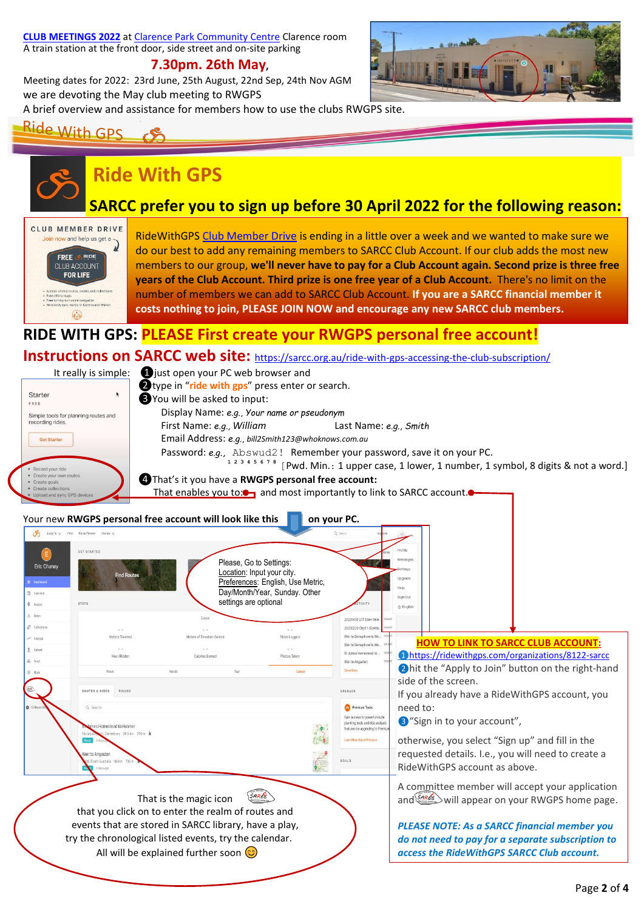**CLUB [MEETINGS](https://sarcc.org.au/club-meetings/) 2022** at Clarence Park [Community](https://www.unley.sa.gov.au/files/assets/public/events-amp-facilities/facilities-amp-venues/community-centres/venues-to-hire/clarence-park-community-centre-conditions-of-hire.pdf) Centre Clarence room A train station at the front door, side street and on-site parking

#### **7.30pm. 26th May,**

we are devoting the May club meeting to RWGPS Meeting dates for 2022: 23rd June, 25th August, 22nd Sep, 24th Nov AGM

A brief overview and assistance for members how to use the clubs RWGPS site.

## Ride With GPS

# **Ride With GPS**

### **SARCC prefer you to sign up before 30 April 2022 for the following reason:**



RideWithGPS [Club Member Drive](https://nam12.safelinks.protection.outlook.com/?url=https%3A%2F%2Fridewithgps.com%2Fnews%2F5769-introducing-the-ride-with-gps-club-membe&data=05%7C01%7C%7C313872a882d042121c4408da2516891b%7C84df9e7fe9f640afb435aaaaaaaaaaaa%7C1%7C0%7C637863075997177034%7CUnknown%7CTWFpbGZsb3d8eyJWIjoiMC4wLjAwMDAiLCJQIjoiV2luMzIiLCJBTiI6Ik1haWwiLCJXVCI6Mn0%3D%7C3000%7C%7C%7C&sdata=EKccxX3yI7KQY6HjlpAlaMd6x9DGGRYjaooXSDHZVCw%3D&reserved=0) is ending in a little over a week and we wanted to make sure we do our best to add any remaining members to SARCC Club Account. If our club adds the most new members to our group, **we'll never have to pay for a Club Account again. Second prize is three free years of the Club Account. Third prize is one free year of a Club Account.** There's no limit on the number of members we can add to SARCC Club Account. **If you are a SARCC financial member it costs nothing to join, PLEASE JOIN NOW and encourage any new SARCC club members.**

### **RIDE WITH GPS: PLEASE First create your RWGPS personal free account!**

**Instructions on SARCC web site:** <https://sarcc.org.au/ride-with-gps-accessing-the-club-subscription/>

| It really is simple:                                  | iust open your PC web browser and                                                             |  |  |  |  |
|-------------------------------------------------------|-----------------------------------------------------------------------------------------------|--|--|--|--|
|                                                       | <b>2</b> type in "ride with gps" press enter or search.                                       |  |  |  |  |
| Starter<br>FREE                                       | You will be asked to input:                                                                   |  |  |  |  |
| Simple tools for planning routes and                  | Display Name: e.g., Your name or pseudonym                                                    |  |  |  |  |
| recording rides.                                      | First Name: e.g., William<br>Last Name: e.g., Smith                                           |  |  |  |  |
| <b>Get Starter</b>                                    | Email Address: e.g., bill2Smith123@whoknows.com.au                                            |  |  |  |  |
|                                                       | Password: e.g., Abswud2! Remember your password, save it on your PC.                          |  |  |  |  |
| Record your ride                                      | 12345678 [Pwd. Min.: 1 upper case, 1 lower, 1 number, 1 symbol, 8 digits & not a word.]       |  |  |  |  |
| • Create your own routes<br>• Create goals            | 4 That's it you have a RWGPS personal free account:                                           |  |  |  |  |
| • Create collections<br>• Upload and sync GPS devices | That enables you to: <sup>1</sup> and most importantly to link to SARCC account. <sup>1</sup> |  |  |  |  |
|                                                       |                                                                                               |  |  |  |  |





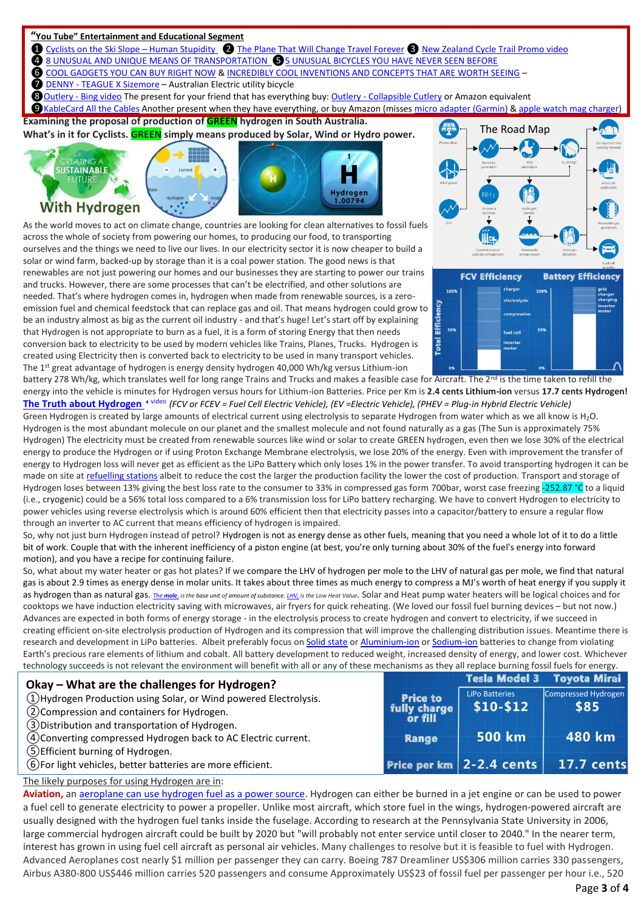#### **"You Tube" Entertainment and Educational Segment**

- ❶ [Cyclists on the Ski Slope](https://vimeo.com/473504232)  Human Stupidity ❷ [The Plane That Will Change Travel Forever](https://www.youtube.com/watch?v=59A8-rKRs-0) ❸ [New Zealand Cycle Trail Promo video](https://www.youtube.com/watch?v=5bYN5lmx_P4)
- **4** [8 UNUSUAL AND UNIQUE MEANS OF TRANSPORTATION](https://www.youtube.com/watch?v=QpGbYlETKtk) **6** [5 UNUSUAL BICYCLES YOU HAVE NEVER SEEN BEFORE](https://www.bing.com/videos/search?q=west+coast+wilderness+trail&ru=%2fvideos%2fsearch%3fq%3dwest%2bcoast%2bwilderness%2btrail%26qpvt%3dwest%2bcoast%2bwilderness%2btrail%26FORM%3dVDRE&qpvt=west+coast+wilderness+trail&view=detail&mid=A137F58C62762502E9F0A137F58C62762502E9F0&rvsmid=EB93938E406DA206B1C9EB93938E406DA206B1C9&FORM=VDMCNR)
- ❻ [COOL GADGETS YOU CAN BUY RIGHT NOW](https://www.youtube.com/watch?v=ogfxEzNsaN8) [& INCREDIBLY COOL INVENTIONS AND CONCEPTS THAT ARE WORTH SEEING](https://www.youtube.com/watch?v=q86OEIZ8rIw) –
- ❼ DENNY [TEAGUE X Sizemore](https://www.youtube.com/watch?v=2rQXrB9Hb6Q&t=3s) Australian Electric utility bicycle
- ❽Outlery [Bing video](https://www.bing.com/videos/search?q=outlery+cutlery&&view=detail&mid=60A657ABD791CB19CE8860A657ABD791CB19CE88&&FORM=VDRVSR) The present for your friend that has everything buy: Outlery [Collapsible Cutlery](https://outlery.com/) or Amazon equivalent

❾[KableCard All the Cables](https://www.youtube.com/watch?v=9I_lAeaNWmM&t=200s) Another present when they have everything, or buy Amazon (misse[s micro adapter \(Garmin\)](https://www.ebay.com.au/itm/294920215479) & [apple watch mag charger\)](https://www.ebay.com.au/itm/294601380045?_trkparms=ispr%3D1&hash=item44979c50cd:g:-zsAAOSwlBJhqYRW&amdata=enc%3AAQAGAAABAN350Y9Aw5QSrs7OyR1Y6pSgPlavnxdHKT5XNZpuh1JQrbkAQldxW8dZNQUez74Ynlnk5BYOR7WuYk5Zd4HGGiY2sP64hqZ%2FgK44TwgEkqVPj1X8iTtco4xBVhih66sTjJMGdIwrCAR0%2BQWd1kxSOLt1uNdWdtWgxdGPRaUEbD9X3Xoz9WjLW1qnkAiptHuWoTXcoGY3cg3M271xVfSVnzDR9Mp8KvdgCINebz3XH7G78qQhbjiEunLzTaXZhJVjzbgyylKBBSQ7DtyLHxfv%2BPV9rrrUZD6jktL8mbkeamkK91IrgvXQCEXQMR%2F%2FE2TgjKhIYRzI3V%2BilQTXBwE4oDQ%3D%7Ctkp%3ABFBMhMiG1IZg)

**Examining the proposal of production of GREEN hydrogen in South Australia.**

**What's in it for Cyclists. GREEN simply means produced by Solar, Wind or Hydro power.**





As the world moves to act on climate change, countries are looking for clean alternatives to fossil fuels across the whole of society from powering our homes, to producing our food, to transporting ourselves and the things we need to live our lives. In our electricity sector it is now cheaper to build a solar or wind farm, backed-up by storage than it is a coal power station. The good news is that renewables are not just powering our homes and our businesses they are starting to power our trains and trucks. However, there are some processes that can't be electrified, and other solutions are needed. That's where hydrogen comes in, hydrogen when made from renewable sources, is a zeroemission fuel and chemical feedstock that can replace gas and oil. That means hydrogen could grow to be an industry almost as big as the current oil industry - and that's huge! Let's start off by explaining that Hydrogen is not appropriate to burn as a fuel, it is a form of storing Energy that then needs conversion back to electricity to be used by modern vehicles like Trains, Planes, Trucks. Hydrogen is created using Electricity then is converted back to electricity to be used in many transport vehicles. The 1st great advantage of hydrogen is energy density hydrogen 40,000 Wh/kg versus Lithium-ion





battery 278 Wh/kg, which translates well for long range Trains and Trucks and makes a feasible case for Aircraft. The 2<sup>nd</sup> is the time taken to refill the energy into the vehicle is minutes for Hydrogen versus hours for Lithium-ion Batteries. Price per Km is **2.4 cents Lithium-ion** versus **17.7 cents Hydrogen! [The Truth about Hydrogen](https://www.bing.com/videos/search?q=hydrogen+costs&ru=%2fvideos%2fsearch%3fq%3dhydrogen%2bcosts%26FORM%3dHDRSC4&view=detail&mid=48BA54E834CDB607ADEC48BA54E834CDB607ADEC&rvsmid=059B2C37C8EA474E42B6059B2C37C8EA474E42B6&FORM=VDMCNR)** video *(FCV or FCEV = Fuel Cell Electric Vehicle), (EV =Electric Vehicle), (PHEV = Plug-in Hybrid Electric Vehicle)*

Green Hydrogen is created by large amounts of electrical current using electrolysis to separate Hydrogen from water which as we all know is H<sub>2</sub>O. Hydrogen is the most abundant molecule on our planet and the smallest molecule and not found naturally as a gas (The Sun is approximately 75% Hydrogen) The electricity must be created from renewable sources like wind or solar to create GREEN hydrogen, even then we lose 30% of the electrical energy to produce the Hydrogen or if using Proton Exchange Membrane electrolysis, we lose 20% of the energy. Even with improvement the transfer of energy to Hydrogen loss will never get as efficient as the LiPo Battery which only loses 1% in the power transfer. To avoid transporting hydrogen it can be made on site at [refuelling stations](https://h2gen.com.au/hydrogen-generation-equipment-installation/) albeit to reduce the cost the larger the production facility the lower the cost of production. Transport and storage of Hydrogen loses between 13% giving the best loss rate to the consumer to 33% in compressed gas form 700bar, worst case freezing -252.87 °C to a liquid (i.e., cryogenic) could be a 56% total loss compared to a 6% transmission loss for LiPo battery recharging. We have to convert Hydrogen to electricity to power vehicles using reverse electrolysis which is around 60% efficient then that electricity passes into a capacitor/battery to ensure a regular flow through an inverter to AC current that means efficiency of hydrogen is impaired.

So, why not just burn Hydrogen instead of petrol? Hydrogen is not as energy dense as other fuels, meaning that you need a whole lot of it to do a little bit of work. Couple that with the inherent inefficiency of a piston engine (at best, you're only turning about 30% of the fuel's energy into forward motion), and you have a recipe for continuing failure.

So, what about my water heater or gas hot plates? If we compare the LHV of hydrogen per mole to the LHV of natural gas per mole, we find that natural gas is about 2.9 times as energy dense in molar units. It takes about three times as much energy to compress a MJ's worth of heat energy if you supply it as hydrogen than as natural gas. The [mole](https://en.wikipedia.org/wiki/Mole_(unit)), is the base unit of amount of substance[. LHV,](https://en.wikipedia.org/wiki/Heat_of_combustion#:~:text=The%20lower%20heating%20value%20%28LHV%3B%20net%20calorific%20value%3B,energy%20per%20unit%20mass%20or%20volume%20of%20substance.) is the Low Heat Value. Solar and Heat pump water heaters will be logical choices and for cooktops we have induction electricity saving with microwaves, air fryers for quick reheating. (We loved our fossil fuel burning devices – but not now.) Advances are expected in both forms of energy storage - in the electrolysis process to create hydrogen and convert to electricity, if we succeed in creating efficient on-site electrolysis production of Hydrogen and its compression that will improve the challenging distribution issues. Meantime there is research and development in LiPo batteries. Albeit preferably focus on [Solid state](https://en.wikipedia.org/wiki/Solid-state_battery#:~:text=A%20solid-state%20battery%20is%20a%20battery%20technology%20that,electrolytes%20found%20in%20lithium-ion%20or%20lithium%20polymer%20batteries.) o[r Aluminium-ion](https://graphenemg.com/energy-storage-solutions/aluminum-ion-battery/) o[r Sodium-ion](https://en.wikipedia.org/wiki/Sodium-ion_battery) batteries to change from violating Earth's precious rare elements of lithium and cobalt. All battery development to reduced weight, increased density of energy, and lower cost. Whichever technology succeeds is not relevant the environment will benefit with all or any of these mechanisms as they all replace burning fossil fuels for energy.

| Okay – What are the challenges for Hydrogen?                                                                                                                           |                          |                                    | Tesla Model 3 Toyota Mirai  |
|------------------------------------------------------------------------------------------------------------------------------------------------------------------------|--------------------------|------------------------------------|-----------------------------|
| (1) Hydrogen Production using Solar, or Wind powered Electrolysis.<br>(2) Compression and containers for Hydrogen.<br>(3) Distribution and transportation of Hydrogen. | Price to<br>fully charge | <b>LiPo Batteries</b><br>$$10-$12$ | Compressed Hydrogen<br>\$85 |
| (4) Converting compressed Hydrogen back to AC Electric current.<br>(5) Efficient burning of Hydrogen.                                                                  | Range                    | 500 km                             | 480 km                      |
| (6) For light vehicles, better batteries are more efficient.                                                                                                           |                          | Price per km 2-2.4 cents           | <b>17.7 cents</b>           |

The likely purposes for using Hydrogen are in:

**Aviation,** an aeroplane can [use hydrogen fuel as a power source.](https://www.bloomberg.com/news/videos/2022-03-16/hydrogen-may-be-the-jet-fuel-of-the-future-video?sref=XDkY5f3Z) Hydrogen can either be burned in a jet engine or can be used to power a fuel cell to generate electricity to power a propeller. Unlike most aircraft, which store fuel in the wings, hydrogen-powered aircraft are usually designed with the hydrogen fuel tanks inside the fuselage. According to research at the Pennsylvania State University in 2006, large commercial hydrogen aircraft could be built by 2020 but "will probably not enter service until closer to 2040." In the nearer term, interest has grown in using fuel cell aircraft as personal air vehicles. Many challenges to resolve but it is feasible to fuel with Hydrogen. Advanced Aeroplanes cost nearly \$1 million per passenger they can carry. Boeing 787 Dreamliner US\$306 million carries 330 passengers, Airbus A380-800 US\$446 million carries 520 passengers and consume Approximately US\$23 of fossil fuel per passenger per hour i.e., 520